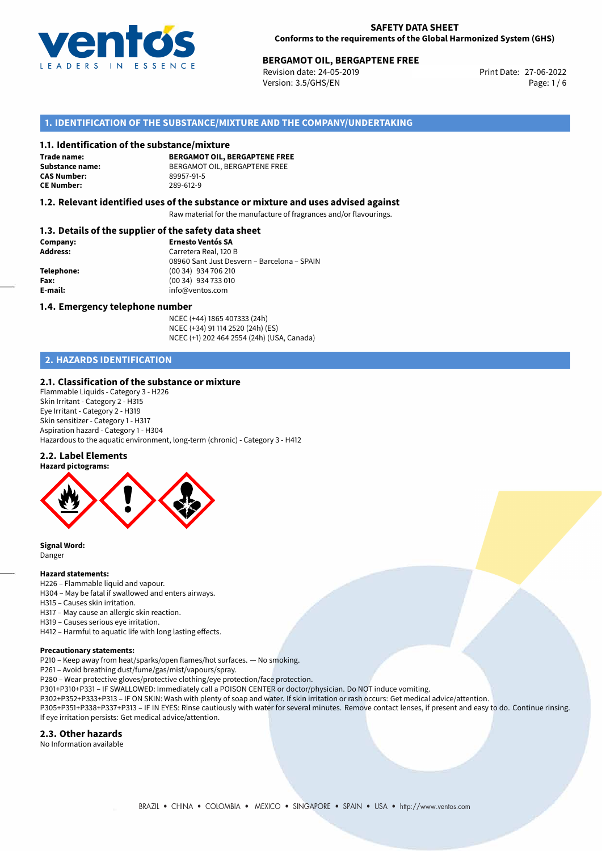

### **SAFETY DATA SHEET Conforms to the requirements of the Global Harmonized System (GHS)**

# **BERGAMOT OIL, BERGAPTENE FREE**<br>27-06-2022 Berger Berger Print Date: 27-06-2022

Revision date: 24-05-2019 Version: 3.5/GHS/EN Page: 1/6

## **1. IDENTIFICATION OF THE SUBSTANCE/MIXTURE AND THE COMPANY/UNDERTAKING**

### **1.1. Identification of the substance/mixture**

**Trade name: CAS Number: CE Number:** 289-612-9

**BERGAMOT OIL, BERGAPTENE FREE Substance name:** BERGAMOT OIL, BERGAPTENE FREE

### **1.2. Relevant identified uses of the substance or mixture and uses advised against**

Raw material for the manufacture of fragrances and/or flavourings.

### **1.3. Details of the supplier of the safety data sheet**

| Company:        | <b>Ernesto Ventós SA</b>                    |
|-----------------|---------------------------------------------|
| <b>Address:</b> | Carretera Real, 120 B                       |
|                 | 08960 Sant Just Desvern - Barcelona - SPAIN |
| Telephone:      | (00 34) 934 706 210                         |
| Fax:            | (00 34) 934 733 010                         |
| E-mail:         | info@ventos.com                             |
|                 |                                             |

### **1.4. Emergency telephone number**

NCEC (+44) 1865 407333 (24h) NCEC (+34) 91 114 2520 (24h) (ES) NCEC (+1) 202 464 2554 (24h) (USA, Canada)

# **2. HAZARDS IDENTIFICATION**

### **2.1. Classification of the substance or mixture**

Flammable Liquids - Category 3 - H226 Skin Irritant - Category 2 - H315 Eye Irritant - Category 2 - H319 Skin sensitizer - Category 1 - H317 Aspiration hazard - Category 1 - H304 Hazardous to the aquatic environment, long-term (chronic) - Category 3 - H412

### **2.2. Label Elements**



**Signal Word:** Danger

#### **Hazard statements:**

H226 – Flammable liquid and vapour.

- H304 May be fatal if swallowed and enters airways.
- H315 Causes skin irritation.
- H317 May cause an allergic skin reaction.
- H319 Causes serious eye irritation.
- H412 Harmful to aquatic life with long lasting effects.

#### **Precautionary statements:**

P210 – Keep away from heat/sparks/open flames/hot surfaces. — No smoking.

P261 – Avoid breathing dust/fume/gas/mist/vapours/spray.

P280 – Wear protective gloves/protective clothing/eye protection/face protection.

- P301+P310+P331 IF SWALLOWED: Immediately call a POISON CENTER or doctor/physician. Do NOT induce vomiting.
- P302+P352+P333+P313 IF ON SKIN: Wash with plenty of soap and water. If skin irritation or rash occurs: Get medical advice/attention.

P305+P351+P338+P337+P313 – IF IN EYES: Rinse cautiously with water for several minutes. Remove contact lenses, if present and easy to do. Continue rinsing. If eye irritation persists: Get medical advice/attention.

### **2.3. Other hazards**

No Information available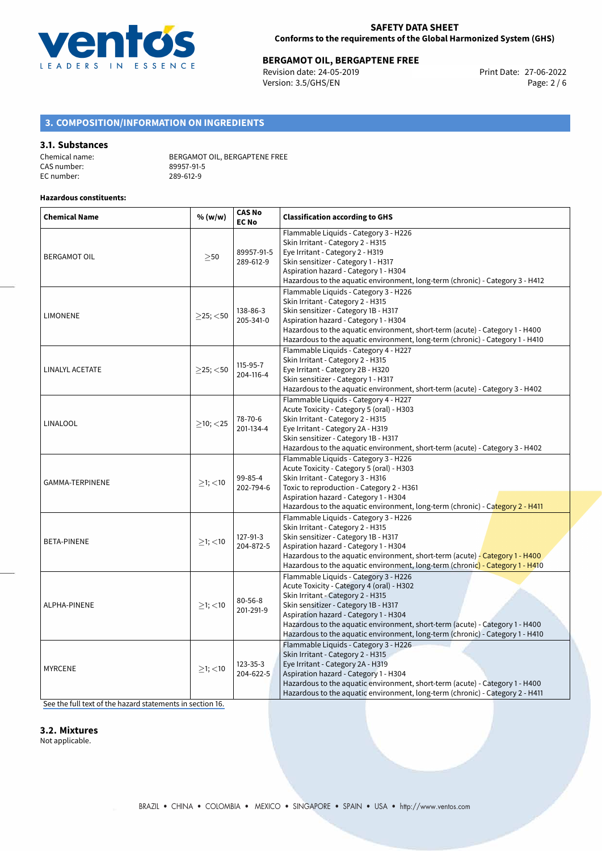

# **BERGAMOT OIL, BERGAPTENE FREE**<br>Revision date: 24-05-2019 **BERGAPTENE FREE**<br>Print Date: 27-06-2022

Revision date: 24-05-2019 Version: 3.5/GHS/EN Page: 2 / 6

# **3. COMPOSITION/INFORMATION ON INGREDIENTS**

### **3.1. Substances**

| Chemical name: | BERGAMOT OIL, BERGAPTENE FREE |
|----------------|-------------------------------|
| CAS number:    | 89957-91-5                    |
| EC number:     | 289-612-9                     |

### **Hazardous constituents:**

| <b>Chemical Name</b>   | % (w/w)        | <b>CAS No</b><br><b>EC No</b> | <b>Classification according to GHS</b>                                                                                                                                                                                                                                                                                                                                    |  |  |
|------------------------|----------------|-------------------------------|---------------------------------------------------------------------------------------------------------------------------------------------------------------------------------------------------------------------------------------------------------------------------------------------------------------------------------------------------------------------------|--|--|
| <b>BERGAMOT OIL</b>    | >50            | 89957-91-5<br>289-612-9       | Flammable Liquids - Category 3 - H226<br>Skin Irritant - Category 2 - H315<br>Eye Irritant - Category 2 - H319<br>Skin sensitizer - Category 1 - H317<br>Aspiration hazard - Category 1 - H304<br>Hazardous to the aquatic environment, long-term (chronic) - Category 3 - H412                                                                                           |  |  |
| <b>LIMONENE</b>        | $>25$ ; <50    | 138-86-3<br>205-341-0         | Flammable Liquids - Category 3 - H226<br>Skin Irritant - Category 2 - H315<br>Skin sensitizer - Category 1B - H317<br>Aspiration hazard - Category 1 - H304<br>Hazardous to the aquatic environment, short-term (acute) - Category 1 - H400<br>Hazardous to the aquatic environment, long-term (chronic) - Category 1 - H410                                              |  |  |
| LINALYL ACETATE        | $>25$ ; $<$ 50 | 115-95-7<br>204-116-4         | Flammable Liquids - Category 4 - H227<br>Skin Irritant - Category 2 - H315<br>Eye Irritant - Category 2B - H320<br>Skin sensitizer - Category 1 - H317<br>Hazardous to the aquatic environment, short-term (acute) - Category 3 - H402                                                                                                                                    |  |  |
| LINALOOL               | $>10$ ; $<$ 25 | 78-70-6<br>201-134-4          | Flammable Liquids - Category 4 - H227<br>Acute Toxicity - Category 5 (oral) - H303<br>Skin Irritant - Category 2 - H315<br>Eye Irritant - Category 2A - H319<br>Skin sensitizer - Category 1B - H317<br>Hazardous to the aquatic environment, short-term (acute) - Category 3 - H402                                                                                      |  |  |
| <b>GAMMA-TERPINENE</b> | $>1$ ; <10     | 99-85-4<br>202-794-6          | Flammable Liquids - Category 3 - H226<br>Acute Toxicity - Category 5 (oral) - H303<br>Skin Irritant - Category 3 - H316<br>Toxic to reproduction - Category 2 - H361<br>Aspiration hazard - Category 1 - H304<br>Hazardous to the aquatic environment, long-term (chronic) - Category 2 - H411                                                                            |  |  |
| <b>BETA-PINENE</b>     | $>1$ ; $<$ 10  | 127-91-3<br>204-872-5         | Flammable Liquids - Category 3 - H226<br>Skin Irritant - Category 2 - H315<br>Skin sensitizer - Category 1B - H317<br>Aspiration hazard - Category 1 - H304<br>Hazardous to the aquatic environment, short-term (acute) - Category 1 - H400<br>Hazardous to the aquatic environment, long-term (chronic) - Category 1 - H410                                              |  |  |
| ALPHA-PINENE           | $>1$ ; $<$ 10  | 80-56-8<br>201-291-9          | Flammable Liquids - Category 3 - H226<br>Acute Toxicity - Category 4 (oral) - H302<br>Skin Irritant - Category 2 - H315<br>Skin sensitizer - Category 1B - H317<br>Aspiration hazard - Category 1 - H304<br>Hazardous to the aquatic environment, short-term (acute) - Category 1 - H400<br>Hazardous to the aquatic environment, long-term (chronic) - Category 1 - H410 |  |  |
| <b>MYRCENE</b>         | $\geq$ 1; <10  | 123-35-3<br>204-622-5         | Flammable Liquids - Category 3 - H226<br>Skin Irritant - Category 2 - H315<br>Eye Irritant - Category 2A - H319<br>Aspiration hazard - Category 1 - H304<br>Hazardous to the aquatic environment, short-term (acute) - Category 1 - H400<br>Hazardous to the aquatic environment, long-term (chronic) - Category 2 - H411                                                 |  |  |

[See the full text of the hazard statements in section 16.](#page-5-0)

**3.2. Mixtures**

Not applicable.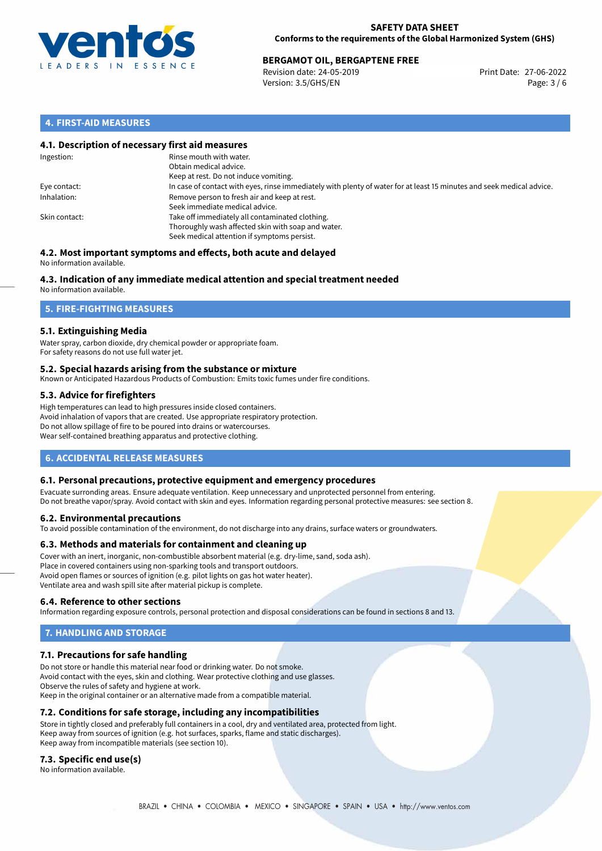

### **SAFETY DATA SHEET Conforms to the requirements of the Global Harmonized System (GHS)**

# **BERGAMOT OIL, BERGAPTENE FREE**<br>
Revision date: 24-05-2019<br> **Print Date: 27-06-2022**

Revision date: 24-05-2019 Version: 3.5/GHS/EN Page: 3 / 6

## **4. FIRST-AID MEASURES**

### **4.1. Description of necessary first aid measures**

| Ingestion:    | Rinse mouth with water.<br>Obtain medical advice.<br>Keep at rest. Do not induce vomiting.                                                           |
|---------------|------------------------------------------------------------------------------------------------------------------------------------------------------|
| Eye contact:  | In case of contact with eyes, rinse immediately with plenty of water for at least 15 minutes and seek medical advice.                                |
| Inhalation:   | Remove person to fresh air and keep at rest.<br>Seek immediate medical advice.                                                                       |
| Skin contact: | Take off immediately all contaminated clothing.<br>Thoroughly wash affected skin with soap and water.<br>Seek medical attention if symptoms persist. |

#### **4.2. Most important symptoms and effects, both acute and delayed** No information available.

# **4.3. Indication of any immediate medical attention and special treatment needed**

No information available.

## **5. FIRE-FIGHTING MEASURES**

### **5.1. Extinguishing Media**

Water spray, carbon dioxide, dry chemical powder or appropriate foam. For safety reasons do not use full water jet.

### **5.2. Special hazards arising from the substance or mixture**

Known or Anticipated Hazardous Products of Combustion: Emits toxic fumes under fire conditions.

### **5.3. Advice for firefighters**

High temperatures can lead to high pressures inside closed containers. Avoid inhalation of vapors that are created. Use appropriate respiratory protection. Do not allow spillage of fire to be poured into drains or watercourses. Wear self-contained breathing apparatus and protective clothing.

## **6. ACCIDENTAL RELEASE MEASURES**

### **6.1. Personal precautions, protective equipment and emergency procedures**

Evacuate surronding areas. Ensure adequate ventilation. Keep unnecessary and unprotected personnel from entering. Do not breathe vapor/spray. Avoid contact with skin and eyes. Information regarding personal protective measures: see section 8.

### **6.2. Environmental precautions**

To avoid possible contamination of the environment, do not discharge into any drains, surface waters or groundwaters.

### **6.3. Methods and materials for containment and cleaning up**

Cover with an inert, inorganic, non-combustible absorbent material (e.g. dry-lime, sand, soda ash). Place in covered containers using non-sparking tools and transport outdoors. Avoid open flames or sources of ignition (e.g. pilot lights on gas hot water heater). Ventilate area and wash spill site after material pickup is complete.

### **6.4. Reference to other sections**

Information regarding exposure controls, personal protection and disposal considerations can be found in sections 8 and 13.

# **7. HANDLING AND STORAGE**

### **7.1. Precautions for safe handling**

Do not store or handle this material near food or drinking water. Do not smoke. Avoid contact with the eyes, skin and clothing. Wear protective clothing and use glasses. Observe the rules of safety and hygiene at work. Keep in the original container or an alternative made from a compatible material.

### **7.2. Conditions for safe storage, including any incompatibilities**

Store in tightly closed and preferably full containers in a cool, dry and ventilated area, protected from light. Keep away from sources of ignition (e.g. hot surfaces, sparks, flame and static discharges). Keep away from incompatible materials (see section 10).

### **7.3. Specific end use(s)**

No information available.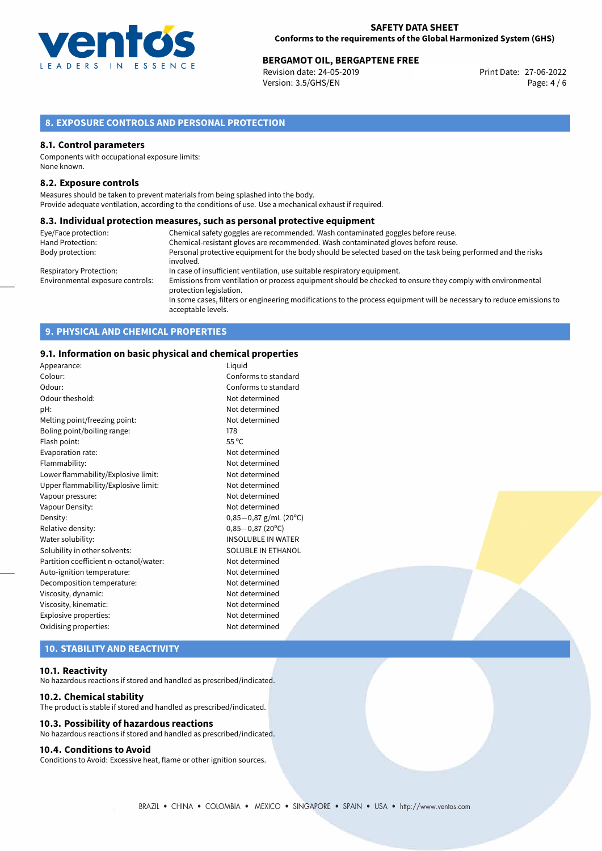

### **SAFETY DATA SHEET Conforms to the requirements of the Global Harmonized System (GHS)**

# **BERGAMOT OIL, BERGAPTENE FREE**<br>
Revision date: 24-05-2019<br>
Print Date: 27-06-2022

Revision date: 24-05-2019 Version: 3.5/GHS/EN Page: 4 / 6

## **8. EXPOSURE CONTROLS AND PERSONAL PROTECTION**

### **8.1. Control parameters**

Components with occupational exposure limits: None known.

### **8.2. Exposure controls**

Measures should be taken to prevent materials from being splashed into the body. Provide adequate ventilation, according to the conditions of use. Use a mechanical exhaust if required.

### **8.3. Individual protection measures, such as personal protective equipment**

| Eye/Face protection:             | Chemical safety goggles are recommended. Wash contaminated goggles before reuse.                                                            |
|----------------------------------|---------------------------------------------------------------------------------------------------------------------------------------------|
| Hand Protection:                 | Chemical-resistant gloves are recommended. Wash contaminated gloves before reuse.                                                           |
| Body protection:                 | Personal protective equipment for the body should be selected based on the task being performed and the risks<br>involved.                  |
| Respiratory Protection:          | In case of insufficient ventilation, use suitable respiratory equipment.                                                                    |
| Environmental exposure controls: | Emissions from ventilation or process equipment should be checked to ensure they comply with environmental<br>protection legislation.       |
|                                  | In some cases, filters or engineering modifications to the process equipment will be necessary to reduce emissions to<br>acceptable levels. |

## **9. PHYSICAL AND CHEMICAL PROPERTIES**

### **9.1. Information on basic physical and chemical properties**

| Appearance:                            | Liguid                    |
|----------------------------------------|---------------------------|
| Colour:                                | Conforms to standard      |
| Odour:                                 | Conforms to standard      |
| Odour theshold:                        | Not determined            |
| pH:                                    | Not determined            |
| Melting point/freezing point:          | Not determined            |
| Boling point/boiling range:            | 178                       |
| Flash point:                           | $55^{\circ}$ C            |
| Evaporation rate:                      | Not determined            |
| Flammability:                          | Not determined            |
| Lower flammability/Explosive limit:    | Not determined            |
| Upper flammability/Explosive limit:    | Not determined            |
| Vapour pressure:                       | Not determined            |
| Vapour Density:                        | Not determined            |
| Density:                               | $0,85-0,87$ g/mL (20°C)   |
| Relative density:                      | $0,85-0,87(20^{\circ}C)$  |
| Water solubility:                      | <b>INSOLUBLE IN WATER</b> |
| Solubility in other solvents:          | SOLUBLE IN ETHANOL        |
| Partition coefficient n-octanol/water: | Not determined            |
| Auto-ignition temperature:             | Not determined            |
| Decomposition temperature:             | Not determined            |
| Viscosity, dynamic:                    | Not determined            |
| Viscosity, kinematic:                  | Not determined            |
| Explosive properties:                  | Not determined            |
| Oxidising properties:                  | Not determined            |
|                                        |                           |

# **10. STABILITY AND REACTIVITY**

### **10.1. Reactivity**

No hazardous reactions if stored and handled as prescribed/indicated.

### **10.2. Chemical stability**

The product is stable if stored and handled as prescribed/indicated.

### **10.3. Possibility of hazardous reactions**

No hazardous reactions if stored and handled as prescribed/indicated.

### **10.4. Conditions to Avoid**

Conditions to Avoid: Excessive heat, flame or other ignition sources.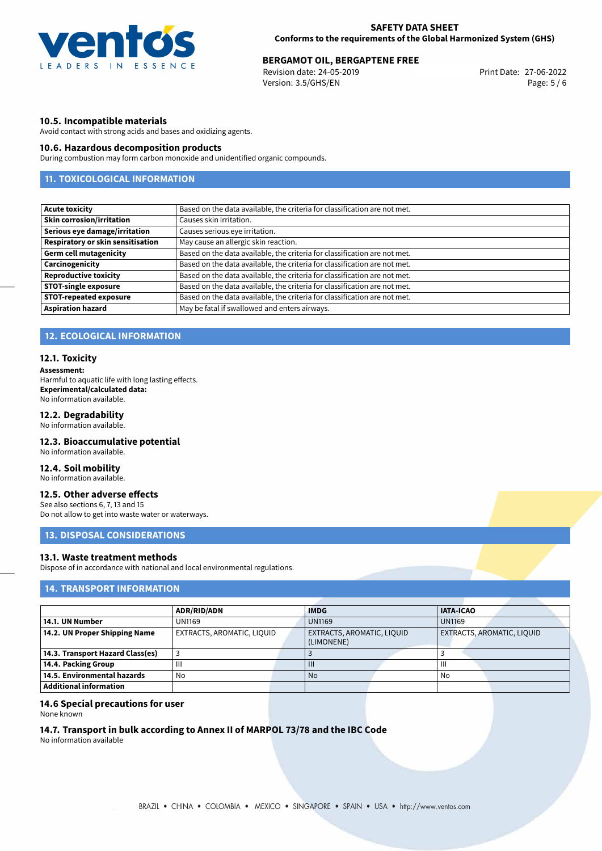

# **BERGAMOT OIL, BERGAPTENE FREE**<br>27-06-2022 Berger Berger Print Date: 27-06-2022

Revision date: 24-05-2019 Version: 3.5/GHS/EN Page: 5 / 6

### **10.5. Incompatible materials**

Avoid contact with strong acids and bases and oxidizing agents.

### **10.6. Hazardous decomposition products**

During combustion may form carbon monoxide and unidentified organic compounds.

# **11. TOXICOLOGICAL INFORMATION**

| <b>Acute toxicity</b>             | Based on the data available, the criteria for classification are not met. |  |  |
|-----------------------------------|---------------------------------------------------------------------------|--|--|
| <b>Skin corrosion/irritation</b>  | Causes skin irritation.                                                   |  |  |
| Serious eye damage/irritation     | Causes serious eye irritation.                                            |  |  |
| Respiratory or skin sensitisation | May cause an allergic skin reaction.                                      |  |  |
| <b>Germ cell mutagenicity</b>     | Based on the data available, the criteria for classification are not met. |  |  |
| Carcinogenicity                   | Based on the data available, the criteria for classification are not met. |  |  |
| <b>Reproductive toxicity</b>      | Based on the data available, the criteria for classification are not met. |  |  |
| <b>STOT-single exposure</b>       | Based on the data available, the criteria for classification are not met. |  |  |
| <b>STOT-repeated exposure</b>     | Based on the data available, the criteria for classification are not met. |  |  |
| <b>Aspiration hazard</b>          | May be fatal if swallowed and enters airways.                             |  |  |

# **12. ECOLOGICAL INFORMATION**

### **12.1. Toxicity**

**Assessment:**

Harmful to aquatic life with long lasting effects. **Experimental/calculated data:** No information available.

### **12.2. Degradability**

No information available.

### **12.3. Bioaccumulative potential**

No information available.

### **12.4. Soil mobility**

No information available.

### **12.5. Other adverse effects**

See also sections 6, 7, 13 and 15 Do not allow to get into waste water or waterways.

# **13. DISPOSAL CONSIDERATIONS**

## **13.1. Waste treatment methods**

Dispose of in accordance with national and local environmental regulations.

## **14. TRANSPORT INFORMATION**

|                                  | <b>ADR/RID/ADN</b>         |  | <b>IMDG</b>                |  | <b>IATA-ICAO</b>           |  |
|----------------------------------|----------------------------|--|----------------------------|--|----------------------------|--|
| 14.1. UN Number                  | <b>UN1169</b>              |  | <b>UN1169</b>              |  | <b>UN1169</b>              |  |
| 14.2. UN Proper Shipping Name    | EXTRACTS, AROMATIC, LIQUID |  | EXTRACTS, AROMATIC, LIQUID |  | EXTRACTS, AROMATIC, LIQUID |  |
|                                  |                            |  | (LIMONENE)                 |  |                            |  |
| 14.3. Transport Hazard Class(es) |                            |  |                            |  |                            |  |
| 14.4. Packing Group              | Ш                          |  | $\mathbf{III}$             |  | Ш                          |  |
| 14.5. Environmental hazards      | No                         |  | No                         |  | No                         |  |
| Additional information           |                            |  |                            |  |                            |  |

### **14.6 Special precautions for user**

None known

# **14.7. Transport in bulk according to Annex II of MARPOL 73/78 and the IBC Code**

No information available